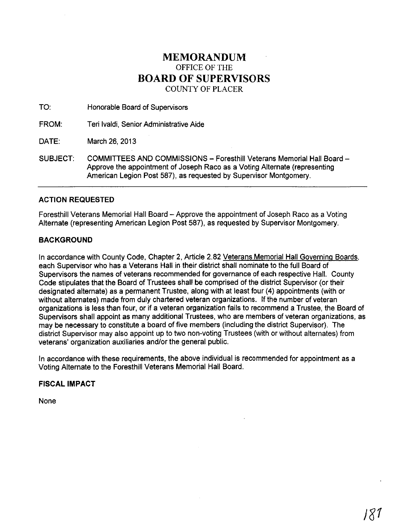# **MEMORANDUM** OFFICE OF THE **BOARD OF SUPERVISORS** COUNTY OF PLACER

TO: Honorable Board of Supervisors

FROM: Teri Ivaldi, Senior Administrative Aide

DATE: March 26, 2013

SUBJECT: COMMITTEES AND COMMISSIONS - Foresthill Veterans Memorial Hall Board -Approve the appointment of Joseph Raco as a Voting Alternate (representing American Legion Post 587), as requested by Supervisor Montgomery.

# **ACTION REQUESTED**

Foresthill Veterans Memorial Hall Board - Approve the appointment of Joseph Raco as a Voting Alternate (representing American Legion Post 587), as requested by Supervisor Montgomery.

# **BACKGROUND**

In accordance with County Code, Chapter 2, Article 2.82 Veterans Memorial Hall Governing Boards, each Supervisor who has a Veterans Hall in their district shall nominate to the full Board of Supervisors the names of veterans recommended for governance of each respective Hall. County Code stipulates that the Board of Trustees shall be comprised of the district Supervisor (or their designated alternate) as a permanent Trustee, along with at least four (4) appointments (with or without alternates) made from duly chartered veteran organizations. If the number of veteran organizations is less than four, or if a veteran organization fails to recommend a Trustee, the Board of Supervisors shall appoint as many additional Trustees, who are members of veteran organizations, as may be necessary to constitute a board of five members (including the district Supervisor). The district Supervisor may also appoint up to two non-voting Trustees (with or without alternates) from veterans' organization auxiliaries and/or the general public.

In accordance with these requirements, the above individual is recommended for appointment as a Voting Alternate to the Foresthill Veterans Memorial Hall Board.

# **FISCAL IMPACT**

None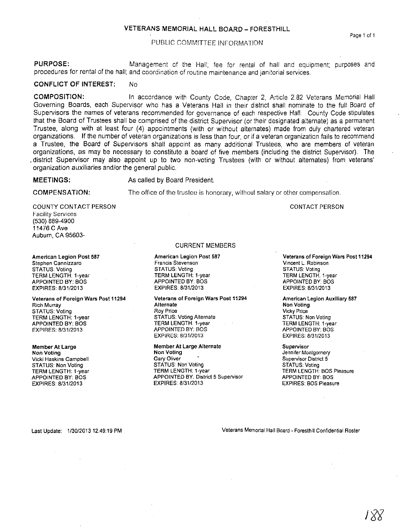## **VETERANS MEMORIAL HALL BOARD - FORESTHILL**

#### PUBLIC COMMITTEE INFORMATION

**PURPOSE:** Management of the Hall, fee for rental of hall and equipment; purposes and procedures for rental of the hall; and coordination of routine maintenance and Janitorial services.

### **CONFLICT OF INTEREST: No**

**COMPOSITION:** In accordance with County Code, Chapter 2, Article 2.82 Veterans Memorial Hall Governing Boards, each Supervisor who has a Veterans Hall in their district shall nominate to the full Board of Supervisors the names of veterans recommended for governance of each respective Hall. County Code stipulates that the Board of Trustees shall be comprised of the district Supervisor (or their designated alternate) as a permanent Trustee, along with at least four (4) appointments (With or without alternates) made from duly chartered veteran organizations. If the number of veteran organizations is less than four, or if a veteran organization fails to recommend a Trustee, the Board of Supervisors shall appoint as many additional Trustees, who are members of veteran organizations, as may be necessary to constitute a board of five members (including the district Supervisor). The . district Supervisor may also appoint up to two non-voting Trustees (with or without alternates) from veterans' organization auxiliaries and/or the general public.

## **MEETINGS:** As called by Board President.

#### **COMPENSATION:**

The office of the trustee is honorary, without salary or other compensation.

#### COUNTY CONTACT PERSON **Facility Services** (530) 889-4900 11476 CAve Auburn, CA 95603-

**American legion Post 587 Stephen Cannizzaro** STATUS: Voting TERM LENGTH: 1-year APPOINTED BY: BOS EXPIRES: 8/31/2013

**Veterans of Foreign Wars Post 11294 Rich Murray** STATUS: Voting TERM LENGTH: 1-year APPOINTED BY: BOS EXPIRES: 8/31/2013

## **Member At Large Non Voting Vicki Haskins Campbell** STATUS: Non Voting

TERM LENGTH: 1-year APPOINTED BY: BOS EXPIRES: 8/31/2013

#### CURRENT MEMBERS

**American Legion Post 587 Francis Stevenson** STATUS: Voting TERM LENGTH: l-year APPOINTED BY: BOS EXPIRES: 8/31/2013

**Veterans of Foreign Wars Post 11294 Alternate Roy Price** STATUS: Voting Alternate TERM LENGTH: 1-year APPOINTED BY: BOS EXPIRES: 8/31/2013

**Member At large Alternate Non Voting Gary Oliver** STATUS: Non Voting **TERM LENGTH: 1-year APPOINTED BY; District 5 Supervisor** EXPIRES: 8/31/2013

#### **Veterans of Foreign Wars Post 11294 Vincent L Robinson** STATUS: Voting TERM LENGTH. 1-year APPOINTED BY: BOS EXPIRES: 8/31/2013

CONTACT PERSON

**American Legion Auxiliary 587 Non Voting Vicky Price** STATUS: Non Voting TERM LENGTH: I-year APPOINTED BY: BOS EXPIRES: 8/31/2013

**Supervisor Jennifer Montgomery Supervisor District 5** STATUS: Voting TERM LENGTH: BOS Pleasure APPOINTED BY: BOS EXPIRES: BOS Pleasure

Last Update: 1/30/201312:49:19 PM **Veterans Memorial Hall Board - Foresthill Confidential Roster**

**Page 1 of 1**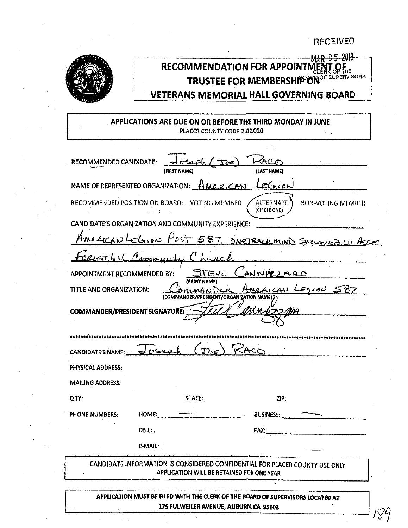**RECEIVED** 



# MAR 0-5-2013 RECOMMENDATION FOR APPOINTMENT OF THE TRUSTEE FOR MEMBERSHIP UN<sup>OF SUPERVISORS</sup> **VETERANS MEMORIAL HALL GOVERNING BOARD**

APPLICATIONS ARE DUE ON OR BEFORE THE THIRD MONDAY IN JUNE PLACER COUNTY CODE 2,82.020

| RECOMMENDED CANDIDATE:               | $\frac{1}{2}$ cseph (Toe                           |                                                                                |  |
|--------------------------------------|----------------------------------------------------|--------------------------------------------------------------------------------|--|
|                                      | (FIRST NAME)                                       | (LAST NAME)                                                                    |  |
|                                      | NAME OF REPRESENTED ORGANIZATION: HALC RICAN       | LEGION                                                                         |  |
|                                      | RECOMMENDED POSITION ON BOARD: VOTING MEMBER       | ALTERNATE<br>NON-VOTING MEMBER<br>(CIRCLE ONE)                                 |  |
|                                      | CANDIDATE'S ORGANIZATION AND COMMUNITY EXPERIENCE: |                                                                                |  |
|                                      |                                                    | AMERICAN LEGION POST 587, ONCTRACILMIND SNOWMOBILLI ASCO                       |  |
|                                      | Bresthil Community Church                          |                                                                                |  |
| APPOINTMENT RECOMMENDED BY:          | (PRINT NAME)                                       | EVE CANNAZZARO                                                                 |  |
| TITLE AND ORGANIZATION:              | (COMMANDER/PRESIDENT/ORGANIZATION NAME)            | American LEZION 587                                                            |  |
| <b>COMMANDER/PRESIDENT SIGNATURE</b> |                                                    |                                                                                |  |
|                                      |                                                    |                                                                                |  |
|                                      |                                                    |                                                                                |  |
|                                      | CANDIDATE'S NAME: Joseph (JOE) RACO                |                                                                                |  |
| PHYSICAL ADDRESS:                    |                                                    |                                                                                |  |
|                                      |                                                    |                                                                                |  |
| <b>MAILING ADDRESS:</b>              |                                                    |                                                                                |  |
| CITY:                                | STATE:                                             | ZIP:                                                                           |  |
| <b>PHONE NUMBERS:</b>                | HOME:                                              | BUSINESS:                                                                      |  |
|                                      | CELL:                                              | <b>FAX:</b>                                                                    |  |
|                                      | E-MAIL:                                            |                                                                                |  |
|                                      | APPLICATION WILL BE RETAINED FOR ONE YEAR          | CANDIDATE INFORMATION IS CONSIDERED CONFIDENTIAL FOR PLACER COUNTY USE ONLY    |  |
|                                      |                                                    | APPHCATION MUST BE FILED WITH THE CLERK OF THE BOARD OF SHOFRUISOPS LOCATED AT |  |

175 FULWEILER AVENUE, AUBURN, CA 95603